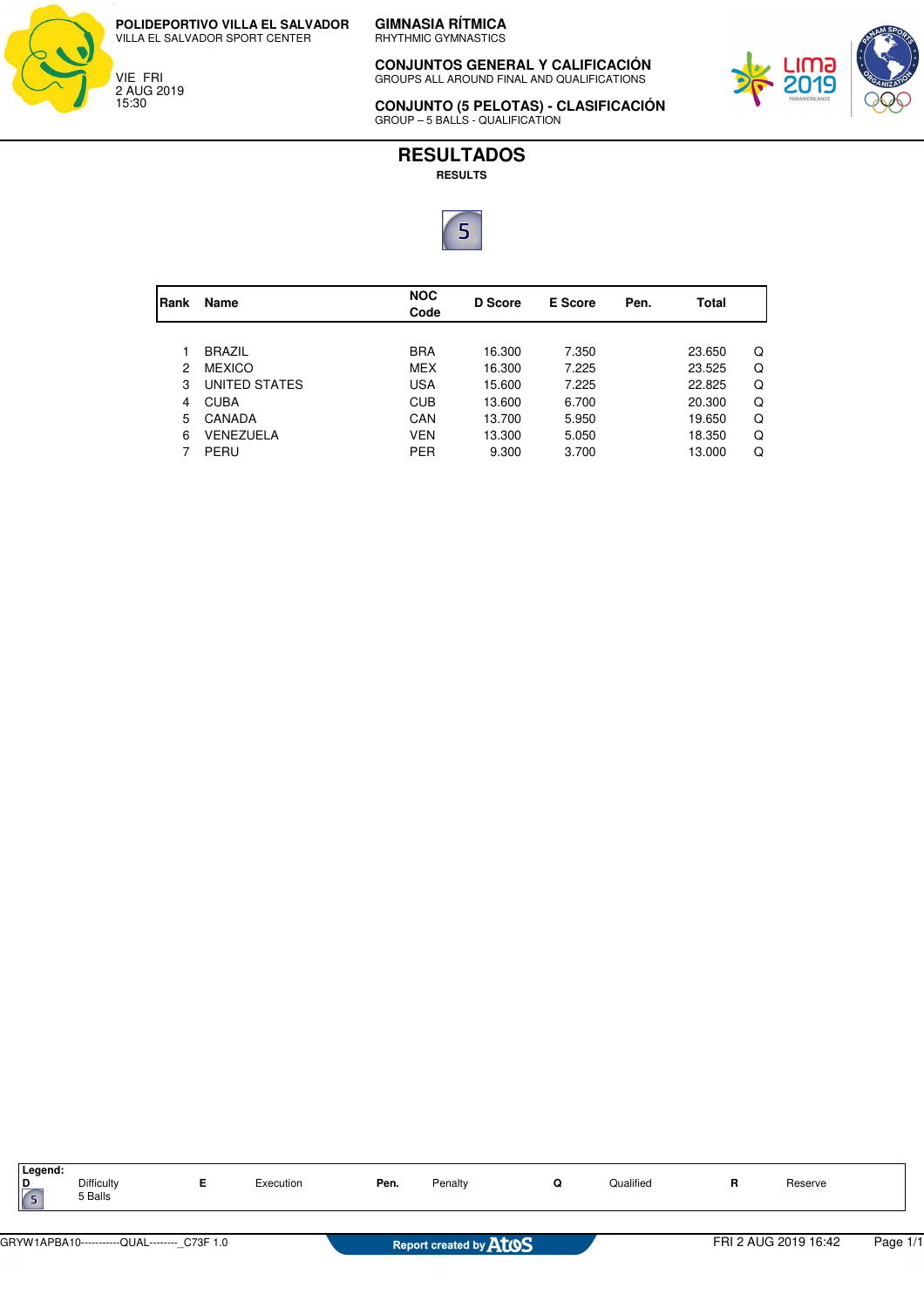



**GIMNASIA RÍTMICA** RHYTHMIC GYMNASTICS

**CONJUNTOS GENERAL Y CALIFICACIÓN** GROUPS ALL AROUND FINAL AND QUALIFICATIONS



**CONJUNTO (5 PELOTAS) - CLASIFICACIÓN** GROUP – 5 BALLS - QUALIFICATION

## **RESULTADOS**

**RESULTS**



| Rank          | Name          | <b>NOC</b><br>Code | D Score | <b>E</b> Score | Pen. | Total  |   |
|---------------|---------------|--------------------|---------|----------------|------|--------|---|
|               |               |                    |         |                |      |        |   |
|               | <b>BRAZIL</b> | <b>BRA</b>         | 16.300  | 7.350          |      | 23.650 | Q |
| $\mathcal{P}$ | <b>MEXICO</b> | <b>MEX</b>         | 16.300  | 7.225          |      | 23.525 | Q |
| 3             | UNITED STATES | <b>USA</b>         | 15.600  | 7.225          |      | 22.825 | Q |
| 4             | <b>CUBA</b>   | <b>CUB</b>         | 13.600  | 6.700          |      | 20,300 | Q |
| 5             | CANADA        | CAN                | 13.700  | 5.950          |      | 19.650 | Q |
| 6             | VENEZUELA     | <b>VEN</b>         | 13.300  | 5.050          |      | 18.350 | Q |
|               | PERU          | <b>PER</b>         | 9.300   | 3.700          |      | 13.000 | Q |